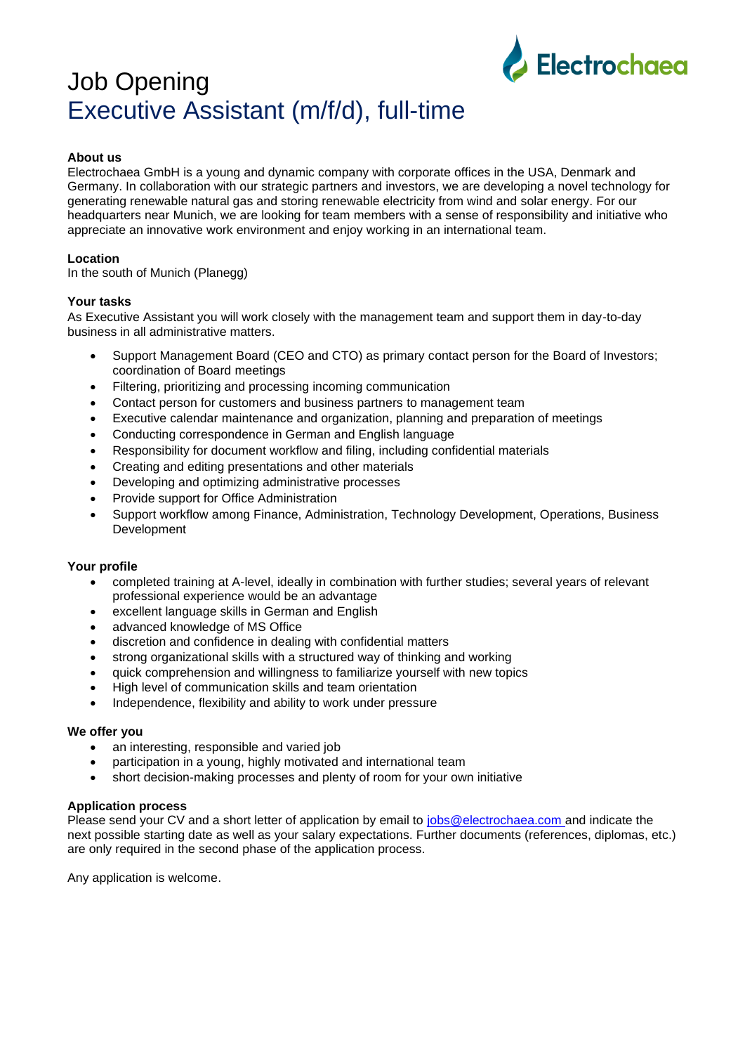# Job Opening Executive Assistant (m/f/d), full-time



## **About us**

Electrochaea GmbH is a young and dynamic company with corporate offices in the USA, Denmark and Germany. In collaboration with our strategic partners and investors, we are developing a novel technology for generating renewable natural gas and storing renewable electricity from wind and solar energy. For our headquarters near Munich, we are looking for team members with a sense of responsibility and initiative who appreciate an innovative work environment and enjoy working in an international team.

## **Location**

In the south of Munich (Planegg)

## **Your tasks**

As Executive Assistant you will work closely with the management team and support them in day-to-day business in all administrative matters.

- Support Management Board (CEO and CTO) as primary contact person for the Board of Investors; coordination of Board meetings
- Filtering, prioritizing and processing incoming communication
- Contact person for customers and business partners to management team
- Executive calendar maintenance and organization, planning and preparation of meetings
- Conducting correspondence in German and English language
- Responsibility for document workflow and filing, including confidential materials
- Creating and editing presentations and other materials
- Developing and optimizing administrative processes
- Provide support for Office Administration
- Support workflow among Finance, Administration, Technology Development, Operations, Business Development

### **Your profile**

- completed training at A-level, ideally in combination with further studies; several years of relevant professional experience would be an advantage
- excellent language skills in German and English
- advanced knowledge of MS Office
- discretion and confidence in dealing with confidential matters
- strong organizational skills with a structured way of thinking and working
- quick comprehension and willingness to familiarize yourself with new topics
- High level of communication skills and team orientation
- Independence, flexibility and ability to work under pressure

### **We offer you**

- an interesting, responsible and varied job
- participation in a young, highly motivated and international team
- short decision-making processes and plenty of room for your own initiative

### **Application process**

Please send your CV and a short letter of application by email to [jobs@electrochaea.com](mailto:jobs@electrochaea.com) and indicate the next possible starting date as well as your salary expectations. Further documents (references, diplomas, etc.) are only required in the second phase of the application process.

Any application is welcome.